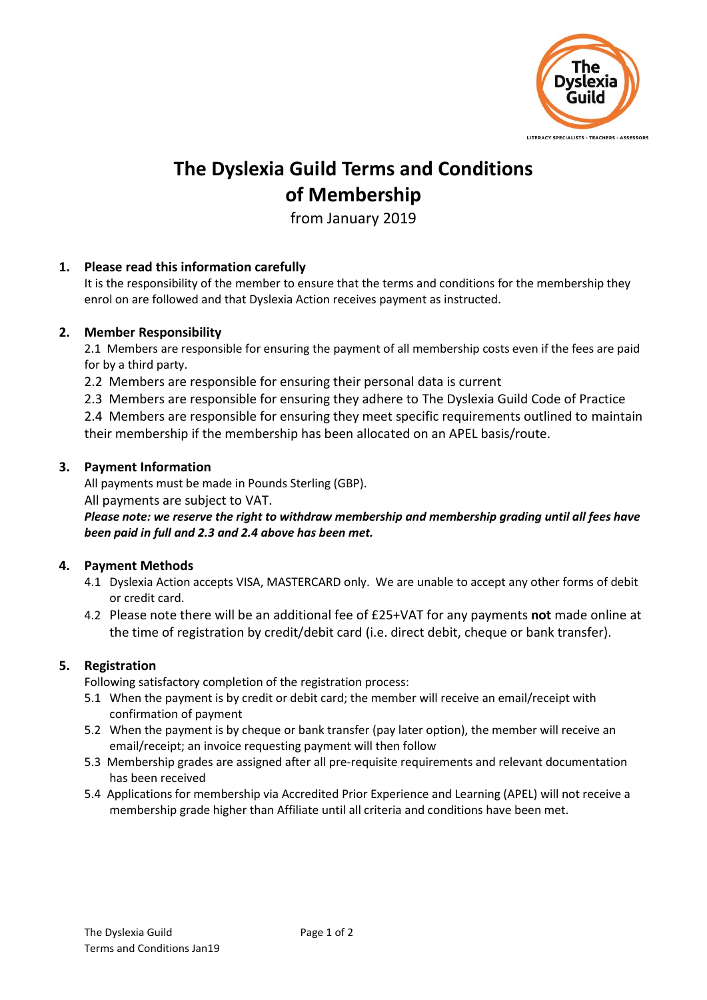

# **The Dyslexia Guild Terms and Conditions of Membership**

from January 2019

## **1. Please read this information carefully**

It is the responsibility of the member to ensure that the terms and conditions for the membership they enrol on are followed and that Dyslexia Action receives payment as instructed.

### **2. Member Responsibility**

2.1 Members are responsible for ensuring the payment of all membership costs even if the fees are paid for by a third party.

2.2 Members are responsible for ensuring their personal data is current

2.3 Members are responsible for ensuring they adhere to The Dyslexia Guild Code of Practice

2.4 Members are responsible for ensuring they meet specific requirements outlined to maintain their membership if the membership has been allocated on an APEL basis/route.

#### **3. Payment Information**

All payments must be made in Pounds Sterling (GBP).

#### All payments are subject to VAT.

*Please note: we reserve the right to withdraw membership and membership grading until all fees have been paid in full and 2.3 and 2.4 above has been met.*

### **4. Payment Methods**

- 4.1 Dyslexia Action accepts VISA, MASTERCARD only. We are unable to accept any other forms of debit or credit card.
- 4.2 Please note there will be an additional fee of £25+VAT for any payments **not** made online at the time of registration by credit/debit card (i.e. direct debit, cheque or bank transfer).

### **5. Registration**

Following satisfactory completion of the registration process:

- 5.1 When the payment is by credit or debit card; the member will receive an email/receipt with confirmation of payment
- 5.2 When the payment is by cheque or bank transfer (pay later option), the member will receive an email/receipt; an invoice requesting payment will then follow
- 5.3 Membership grades are assigned after all pre-requisite requirements and relevant documentation has been received
- 5.4 Applications for membership via Accredited Prior Experience and Learning (APEL) will not receive a membership grade higher than Affiliate until all criteria and conditions have been met.